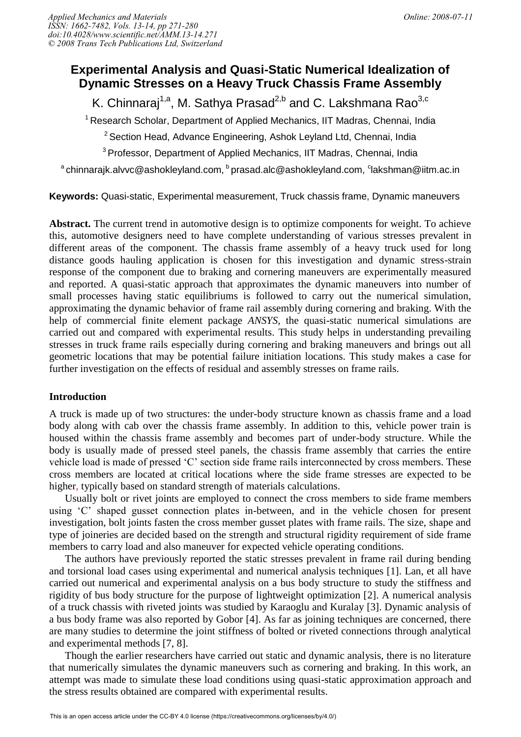# **Experimental Analysis and Quasi-Static Numerical Idealization of Dynamic Stresses on a Heavy Truck Chassis Frame Assembly**

K. Chinnaraj<sup>1,a</sup>, M. Sathya Prasad<sup>2,b</sup> and C. Lakshmana Rao<sup>3,c</sup>

<sup>1</sup> Research Scholar, Department of Applied Mechanics, IIT Madras, Chennai, India

 $2$  Section Head, Advance Engineering, Ashok Leyland Ltd, Chennai, India

<sup>3</sup> Professor, Department of Applied Mechanics, IIT Madras, Chennai, India

 $^{\text{a}}$ chinnarajk.alvvc@ashokleyland.com,  $^{\text{b}}$ prasad.alc@ashokleyland.com,  $^{\text{c}}$ lakshman@iitm.ac.in

**Keywords:** Quasi-static, Experimental measurement, Truck chassis frame, Dynamic maneuvers

**Abstract.** The current trend in automotive design is to optimize components for weight. To achieve this, automotive designers need to have complete understanding of various stresses prevalent in different areas of the component. The chassis frame assembly of a heavy truck used for long distance goods hauling application is chosen for this investigation and dynamic stress-strain response of the component due to braking and cornering maneuvers are experimentally measured and reported. A quasi-static approach that approximates the dynamic maneuvers into number of small processes having static equilibriums is followed to carry out the numerical simulation, approximating the dynamic behavior of frame rail assembly during cornering and braking. With the help of commercial finite element package *ANSYS*, the quasi-static numerical simulations are carried out and compared with experimental results. This study helps in understanding prevailing stresses in truck frame rails especially during cornering and braking maneuvers and brings out all geometric locations that may be potential failure initiation locations. This study makes a case for further investigation on the effects of residual and assembly stresses on frame rails.

### **Introduction**

A truck is made up of two structures: the under-body structure known as chassis frame and a load body along with cab over the chassis frame assembly. In addition to this, vehicle power train is housed within the chassis frame assembly and becomes part of under-body structure. While the body is usually made of pressed steel panels, the chassis frame assembly that carries the entire vehicle load is made of pressed 'C' section side frame rails interconnected by cross members. These cross members are located at critical locations where the side frame stresses are expected to be higher, typically based on standard strength of materials calculations.

Usually bolt or rivet joints are employed to connect the cross members to side frame members using 'C' shaped gusset connection plates in-between, and in the vehicle chosen for present investigation, bolt joints fasten the cross member gusset plates with frame rails. The size, shape and type of joineries are decided based on the strength and structural rigidity requirement of side frame members to carry load and also maneuver for expected vehicle operating conditions.

The authors have previously reported the static stresses prevalent in frame rail during bending and torsional load cases using experimental and numerical analysis techniques [1]. Lan, et all have carried out numerical and experimental analysis on a bus body structure to study the stiffness and rigidity of bus body structure for the purpose of lightweight optimization [2]. A numerical analysis of a truck chassis with riveted joints was studied by Karaoglu and Kuralay [3]. Dynamic analysis of a bus body frame was also reported by Gobor [4]. As far as joining techniques are concerned, there are many studies to determine the joint stiffness of bolted or riveted connections through analytical and experimental methods [7, 8].

Though the earlier researchers have carried out static and dynamic analysis, there is no literature that numerically simulates the dynamic maneuvers such as cornering and braking. In this work, an attempt was made to simulate these load conditions using quasi-static approximation approach and the stress results obtained are compared with experimental results.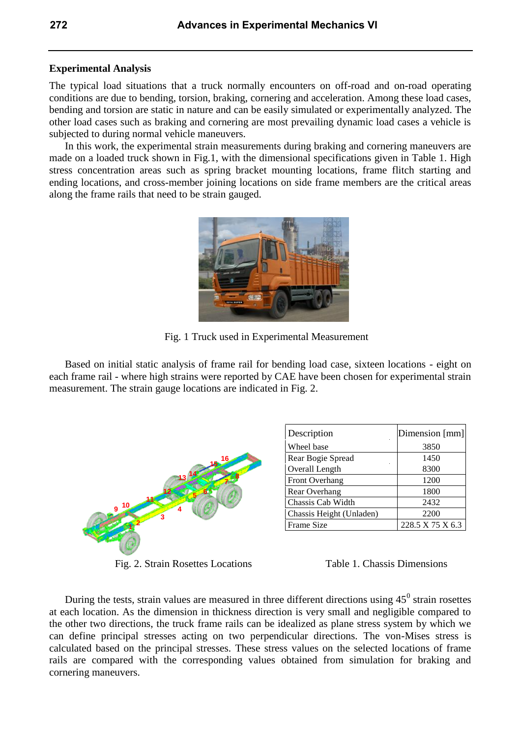### **Experimental Analysis**

The typical load situations that a truck normally encounters on off-road and on-road operating conditions are due to bending, torsion, braking, cornering and acceleration. Among these load cases, bending and torsion are static in nature and can be easily simulated or experimentally analyzed. The other load cases such as braking and cornering are most prevailing dynamic load cases a vehicle is subjected to during normal vehicle maneuvers.

In this work, the experimental strain measurements during braking and cornering maneuvers are made on a loaded truck shown in Fig.1, with the dimensional specifications given in Table 1. High stress concentration areas such as spring bracket mounting locations, frame flitch starting and ending locations, and cross-member joining locations on side frame members are the critical areas along the frame rails that need to be strain gauged.

Fig. 1 Truck used in Experimental Measurement

Based on initial static analysis of frame rail for bending load case, sixteen locations - eight on each frame rail - where high strains were reported by CAE have been chosen for experimental strain measurement. The strain gauge locations are indicated in Fig. 2.



Fig. 2. Strain Rosettes Locations Table 1. Chassis Dimensions

| Description              | Dimension [mm]   |
|--------------------------|------------------|
| Wheel base               | 3850             |
| Rear Bogie Spread        | 1450             |
| Overall Length           | 8300             |
| Front Overhang           | 1200             |
| Rear Overhang            | 1800             |
| Chassis Cab Width        | 2432             |
| Chassis Height (Unladen) | 2200             |
| Frame Size               | 228.5 X 75 X 6.3 |

During the tests, strain values are measured in three different directions using  $45^{\circ}$  strain rosettes at each location. As the dimension in thickness direction is very small and negligible compared to the other two directions, the truck frame rails can be idealized as plane stress system by which we can define principal stresses acting on two perpendicular directions. The von-Mises stress is calculated based on the principal stresses. These stress values on the selected locations of frame rails are compared with the corresponding values obtained from simulation for braking and cornering maneuvers.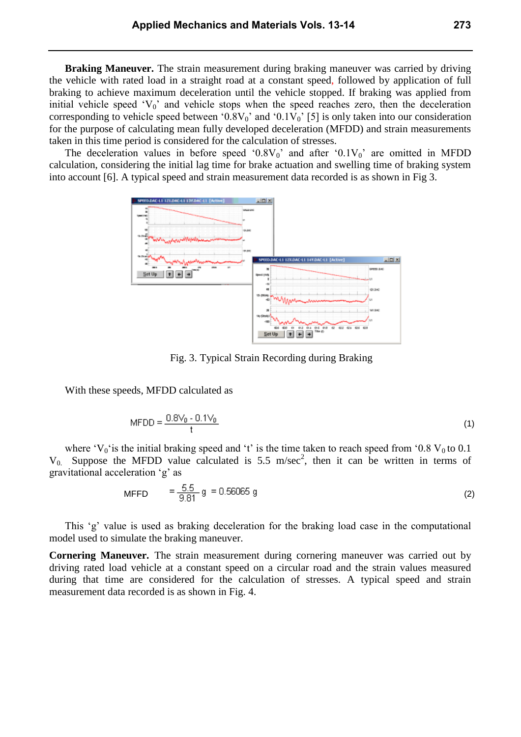**Braking Maneuver.** The strain measurement during braking maneuver was carried by driving the vehicle with rated load in a straight road at a constant speed, followed by application of full braking to achieve maximum deceleration until the vehicle stopped. If braking was applied from initial vehicle speed ' $V_0$ ' and vehicle stops when the speed reaches zero, then the deceleration corresponding to vehicle speed between '0.8V<sub>0</sub>' and '0.1V<sub>0</sub>' [5] is only taken into our consideration for the purpose of calculating mean fully developed deceleration (MFDD) and strain measurements taken in this time period is considered for the calculation of stresses.

The deceleration values in before speed ' $0.8V_0$ ' and after ' $0.1V_0$ ' are omitted in MFDD calculation, considering the initial lag time for brake actuation and swelling time of braking system into account [6]. A typical speed and strain measurement data recorded is as shown in Fig 3.



Fig. 3. Typical Strain Recording during Braking

With these speeds, MFDD calculated as

$$
MFDD = \frac{0.8V_0 - 0.1V_0}{t}
$$
 (1)

where 'V<sub>0</sub>' is the initial braking speed and 't' is the time taken to reach speed from '0.8 V<sub>0</sub> to 0.1  $V_0$ . Suppose the MFDD value calculated is 5.5 m/sec<sup>2</sup>, then it can be written in terms of gravitational acceleration 'g' as

$$
MFFD = \frac{5.5}{9.81} \text{ g} = 0.56065 \text{ g}
$$
 (2)

This 'g' value is used as braking deceleration for the braking load case in the computational model used to simulate the braking maneuver.

**Cornering Maneuver.** The strain measurement during cornering maneuver was carried out by driving rated load vehicle at a constant speed on a circular road and the strain values measured during that time are considered for the calculation of stresses. A typical speed and strain measurement data recorded is as shown in Fig. 4.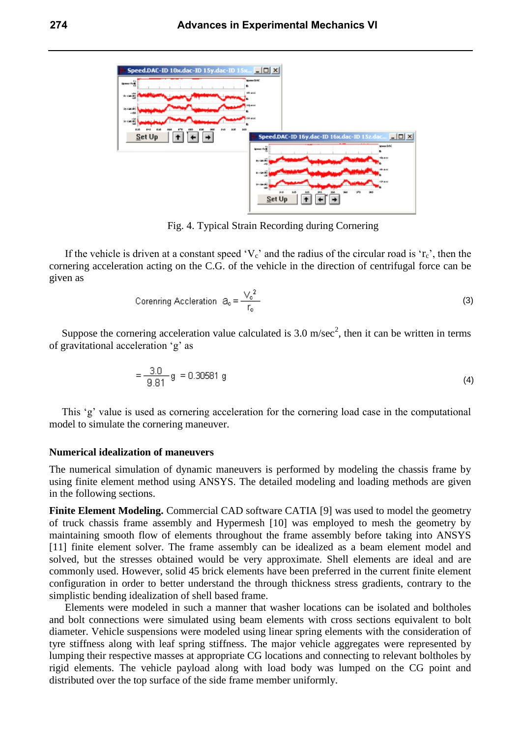

Fig. 4. Typical Strain Recording during Cornering

If the vehicle is driven at a constant speed ' $V_c$ ' and the radius of the circular road is ' $r_c$ ', then the cornering acceleration acting on the C.G. of the vehicle in the direction of centrifugal force can be given as

Corenring Acceleration 
$$
\theta_{\rm e} = \frac{V_{\rm e}^2}{r_{\rm e}}
$$
 (3)

Suppose the cornering acceleration value calculated is 3.0 m/sec<sup>2</sup>, then it can be written in terms of gravitational acceleration 'g' as

$$
=\frac{3.0}{9.81} \text{ g} = 0.30581 \text{ g} \tag{4}
$$

This 'g' value is used as cornering acceleration for the cornering load case in the computational model to simulate the cornering maneuver.

#### **Numerical idealization of maneuvers**

The numerical simulation of dynamic maneuvers is performed by modeling the chassis frame by using finite element method using ANSYS. The detailed modeling and loading methods are given in the following sections.

**Finite Element Modeling.** Commercial CAD software CATIA [9] was used to model the geometry of truck chassis frame assembly and Hypermesh [10] was employed to mesh the geometry by maintaining smooth flow of elements throughout the frame assembly before taking into ANSYS [11] finite element solver. The frame assembly can be idealized as a beam element model and solved, but the stresses obtained would be very approximate. Shell elements are ideal and are commonly used. However, solid 45 brick elements have been preferred in the current finite element configuration in order to better understand the through thickness stress gradients, contrary to the simplistic bending idealization of shell based frame.

Elements were modeled in such a manner that washer locations can be isolated and boltholes and bolt connections were simulated using beam elements with cross sections equivalent to bolt diameter. Vehicle suspensions were modeled using linear spring elements with the consideration of tyre stiffness along with leaf spring stiffness. The major vehicle aggregates were represented by lumping their respective masses at appropriate CG locations and connecting to relevant boltholes by rigid elements. The vehicle payload along with load body was lumped on the CG point and distributed over the top surface of the side frame member uniformly.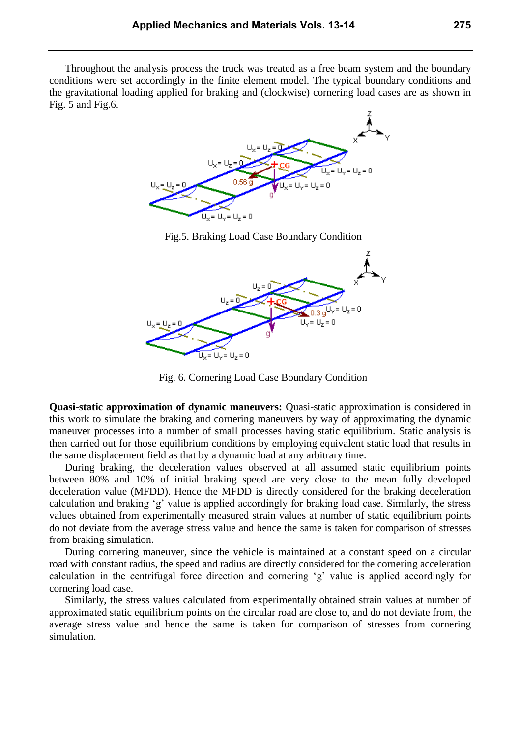Throughout the analysis process the truck was treated as a free beam system and the boundary conditions were set accordingly in the finite element model. The typical boundary conditions and the gravitational loading applied for braking and (clockwise) cornering load cases are as shown in Fig. 5 and Fig.6.



Fig.5. Braking Load Case Boundary Condition



Fig. 6. Cornering Load Case Boundary Condition

**Quasi-static approximation of dynamic maneuvers:** Quasi-static approximation is considered in this work to simulate the braking and cornering maneuvers by way of approximating the dynamic maneuver processes into a number of small processes having static equilibrium. Static analysis is then carried out for those equilibrium conditions by employing equivalent static load that results in the same displacement field as that by a dynamic load at any arbitrary time.

During braking, the deceleration values observed at all assumed static equilibrium points between 80% and 10% of initial braking speed are very close to the mean fully developed deceleration value (MFDD). Hence the MFDD is directly considered for the braking deceleration calculation and braking 'g' value is applied accordingly for braking load case. Similarly, the stress values obtained from experimentally measured strain values at number of static equilibrium points do not deviate from the average stress value and hence the same is taken for comparison of stresses from braking simulation.

During cornering maneuver, since the vehicle is maintained at a constant speed on a circular road with constant radius, the speed and radius are directly considered for the cornering acceleration calculation in the centrifugal force direction and cornering 'g' value is applied accordingly for cornering load case.

Similarly, the stress values calculated from experimentally obtained strain values at number of approximated static equilibrium points on the circular road are close to, and do not deviate from, the average stress value and hence the same is taken for comparison of stresses from cornering simulation.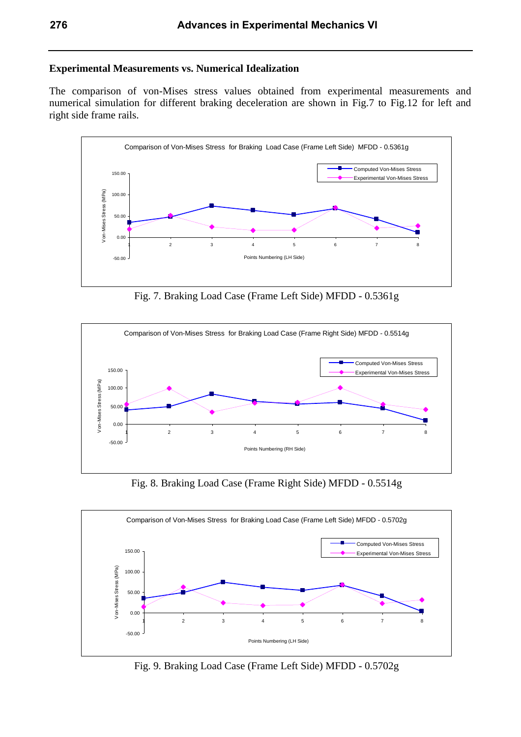## **Experimental Measurements vs. Numerical Idealization**

The comparison of von-Mises stress values obtained from experimental measurements and numerical simulation for different braking deceleration are shown in Fig.7 to Fig.12 for left and right side frame rails.



Fig. 7. Braking Load Case (Frame Left Side) MFDD - 0.5361g



Fig. 8. Braking Load Case (Frame Right Side) MFDD - 0.5514g



Fig. 9. Braking Load Case (Frame Left Side) MFDD - 0.5702g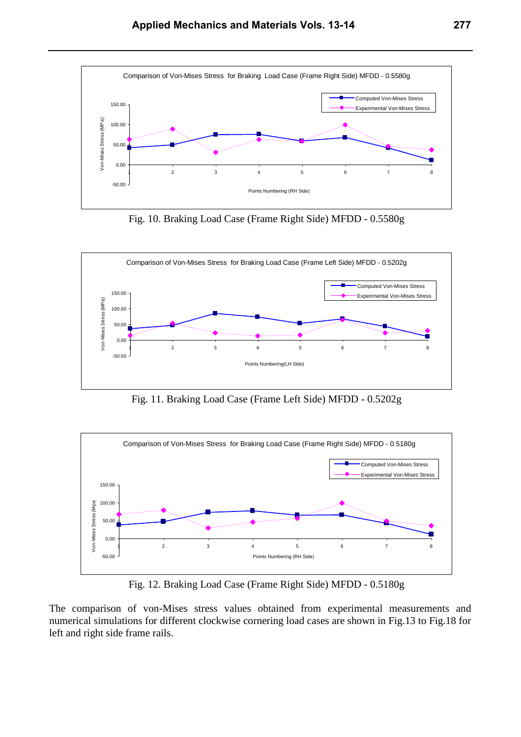

Fig. 10. Braking Load Case (Frame Right Side) MFDD - 0.5580g



Fig. 11. Braking Load Case (Frame Left Side) MFDD - 0.5202g



Fig. 12. Braking Load Case (Frame Right Side) MFDD - 0.5180g

The comparison of von-Mises stress values obtained from experimental measurements and numerical simulations for different clockwise cornering load cases are shown in Fig.13 to Fig.18 for left and right side frame rails.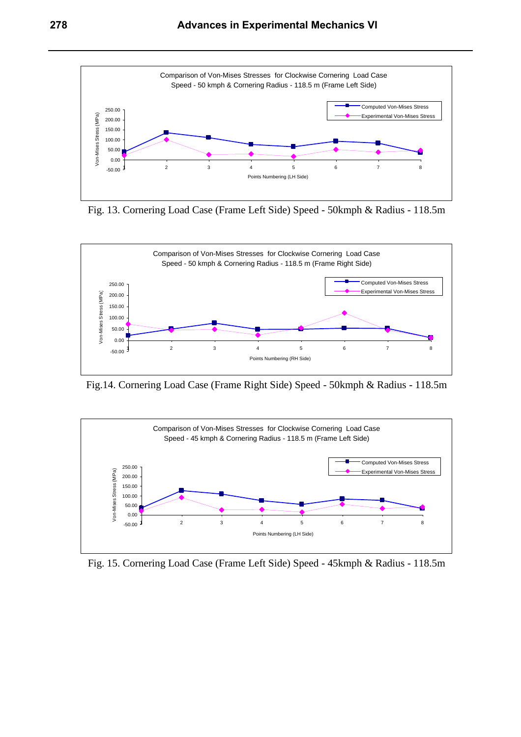

Fig. 13. Cornering Load Case (Frame Left Side) Speed - 50kmph & Radius - 118.5m



Fig.14. Cornering Load Case (Frame Right Side) Speed - 50kmph & Radius - 118.5m



Fig. 15. Cornering Load Case (Frame Left Side) Speed - 45kmph & Radius - 118.5m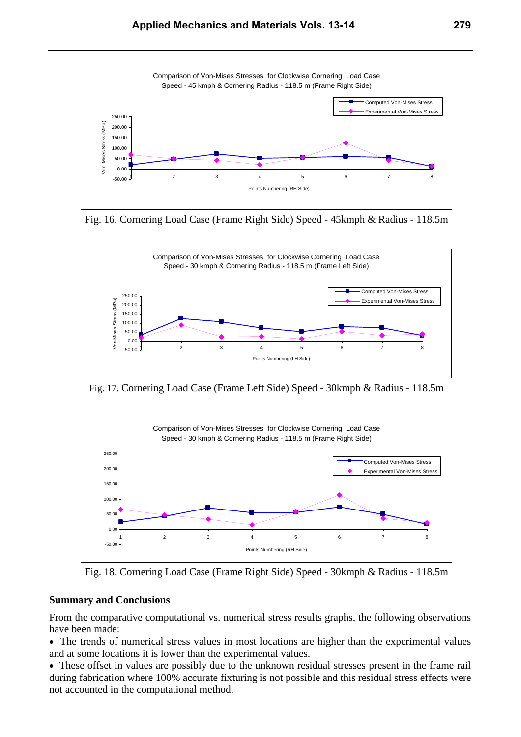

Fig. 16. Cornering Load Case (Frame Right Side) Speed - 45kmph & Radius - 118.5m



Fig. 17. Cornering Load Case (Frame Left Side) Speed - 30kmph & Radius - 118.5m



Fig. 18. Cornering Load Case (Frame Right Side) Speed - 30kmph & Radius - 118.5m

## **Summary and Conclusions**

From the comparative computational vs. numerical stress results graphs, the following observations have been made:

 The trends of numerical stress values in most locations are higher than the experimental values and at some locations it is lower than the experimental values.

 These offset in values are possibly due to the unknown residual stresses present in the frame rail during fabrication where 100% accurate fixturing is not possible and this residual stress effects were not accounted in the computational method.